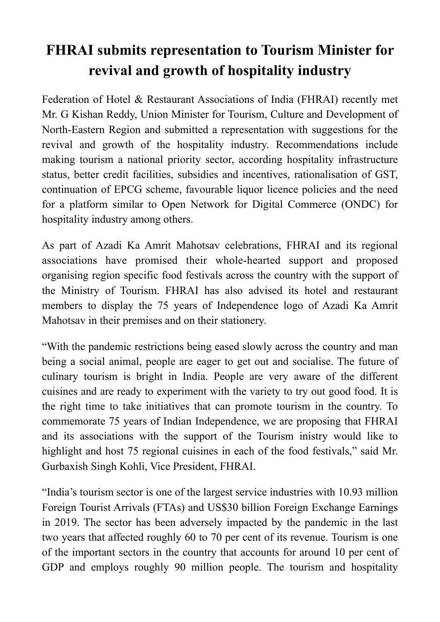## **FHRAI submits representation to Tourism Minister for revival and growth of hospitality industry**

Federation of Hotel & Restaurant Associations of India (FHRAI) recently met Mr. G Kishan Reddy, Union Minister for Tourism, Culture and Development of North-Eastern Region and submitted a representation with suggestions for the revival and growth of the hospitality industry. Recommendations include making tourism a national priority sector, according hospitality infrastructure status, better credit facilities, subsidies and incentives, rationalisation of GST, continuation of EPCG scheme, favourable liquor licence policies and the need for a platform similar to Open Network for Digital Commerce (ONDC) for hospitality industry among others.

As part of Azadi Ka Amrit Mahotsav celebrations, FHRAI and its regional associations have promised their whole-hearted support and proposed organising region specific food festivals across the country with the support of the Ministry of Tourism. FHRAI has also advised its hotel and restaurant members to display the 75 years of Independence logo of Azadi Ka Amrit Mahotsav in their premises and on their stationery.

"With the pandemic restrictions being eased slowly across the country and man being a social animal, people are eager to get out and socialise. The future of culinary tourism is bright in India. People are very aware of the different cuisines and are ready to experiment with the variety to try out good food. It is the right time to take initiatives that can promote tourism in the country. To commemorate 75 years of Indian Independence, we are proposing that FHRAI and its associations with the support of the Tourism inistry would like to highlight and host 75 regional cuisines in each of the food festivals," said Mr. Gurbaxish Singh Kohli, Vice President, FHRAI.

"India's tourism sector is one of the largest service industries with 10.93 million Foreign Tourist Arrivals (FTAs) and US\$30 billion Foreign Exchange Earnings in 2019. The sector has been adversely impacted by the pandemic in the last two years that affected roughly 60 to 70 per cent of its revenue. Tourism is one of the important sectors in the country that accounts for around 10 per cent of GDP and employs roughly 90 million people. The tourism and hospitality